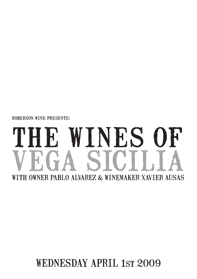roberson wine presents:

# THE WINES OF VEGA SICILIA WITH OWNER PABLO ALVAREZ & WINEMAKER XAVIER AUSAS

## WEDNESDAY APRIL 1ST 2009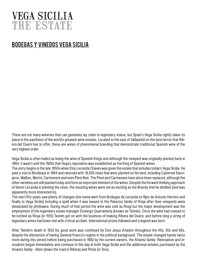## VEGA SICILIA the estate

#### bodegas y vinedos vega sicilia

There are not many wineries that can genuinely lay claim to legendary status, but Spain's Vega Sicilia rightly takes its place in the pantheon of the world's greatest wine estates. Located to the east of Valladolid on the best terroir that Ribera del Duero has to offer, these are wines of phenomenal breeding that demonstrate traditional Spanish wine of the very highest order.

Vega Sicilia is often hailed as being the wine of Spanish Kings and although the vineyard was originally planted back in 1864, it wasn't until the 1920s that Vega's reputation was established as the King of Spanish wines.

The story begins in the late 1850s when Eloy Lecanda Chaves was given the estate that includes today's Vega Sicilia. He paid a visit to Bordeaux in 1864 and returned with 18,000 vines that were planted on his land, including Cabernet Sauvignon, Malbec, Merlot, Carmenere and even Pinot Noir. The Pinot and Carmenere have since been replaced, although the other varieties are still planted today and form an important element of the wines. Despite the forward thinking approach of Senor Lecanda in planting the vines, the resulting wines were not as exciting as the Brandy that he distilled (and was apparently more interested in).

The next fifty years saw plenty of changes (the name went from Bodegas de Lecanda to Hijos de Antonio Herrero and finally to Vega Sicilia) including a spell when it was leased to the Palacios family of Rioja after their vineyards were devastated by phylloxera. During much of that period the wine was sold as Rioja but the major development was the employment of the legendary estate manager Domingo Guarramiola (known as Txomin). Once the wine had ceased to be bottled as Rioja (in 1915) Txomin got on with the business of making Ribera del Duero, and before long a string of legendary wines had been met with critical acclaim. International prizes followed and a legend was born.

After Txomin's death in 1933 his good work was continued by Don Jesus Anadon throughout the 40s, 50s and 60s, despite the distraction of having General Franco's regime in the political background. The estate changed hands twice more during this period before being purchased in 1982 by the current owners, the Alvarez family. Renovation and innovation began immediately and continue to this day at both Vega Sicilia and the additional estates purchased by the Alvarez family - Alíon (down the road in Ribera) and Pintia (in Toro).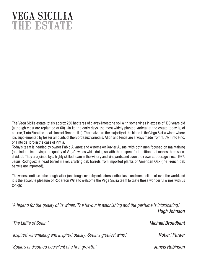## VEGA SICILIA the estate

The Vega Sicilia estate totals approx 250 hectares of clayey-limestone soil with some vines in excess of 100 years old (although most are replanted at 60). Unlike the early days, the most widely planted varietal at the estate today is, of course, Tinto Fino (the local clone of Tempranillo). This makes up the majority of the blend in the Vega Sicilia wines where it is supplemented by lesser amounts of the Bordeaux varietals. Alíon and Pintia are always made from 100% Tinto Fino, or Tinto de Toro in the case of Pintia.

Today's team is headed by owner Pablo Alvarez and winemaker Xavier Ausas, with both men focused on maintaining (and indeed improving) the quality of Vega's wines while doing so with the respect for tradition that makes them so individual. They are joined by a highly skilled team in the winery and vineyards and even their own cooperage since 1987. Jesus Rodriguez is head barrel maker, crafting oak barrels from imported planks of American Oak (the French oak barrels are imported).

The wines continue to be sought after (and fought over) by collectors, enthusiasts and sommeliers all over the world and it is the absolute pleasure of Roberson Wine to welcome the Vega Sicilia team to taste these wonderful wines with us tonight.

"A legend for the quality of its wines. The flavour is astonishing and the perfume is intoxicating." **Hugh Johnson**

"The Lafite of Spain." **Michael Broadbent** "Inspired winemaking and inspired quality. Spain's greatest wine." **Robert Parker** "Spain's undisputed equivilent of a first growth." **Jancis Robinson**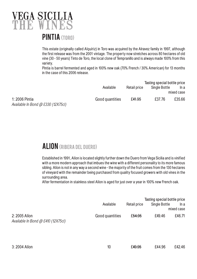

This estate (originally called Alquíriz) in Toro was acquired by the Alravez family in 1997, although the first release was from the 2001 vintage. The property now stretches across 80 hectares of old vine (30 - 50 years) Tinto de Toro, the local clone of Tempranillo and is always made 100% from this variety.

Pintia is barrel fermented and aged in 100% new oak (70% French / 30% American) for 13 months in the case of this 2006 release.

|                                                             |                 |                    | Tasting special bottle price |            |  |
|-------------------------------------------------------------|-----------------|--------------------|------------------------------|------------|--|
|                                                             | Available       | Retail price       | Single Bottle                | In a       |  |
|                                                             |                 |                    |                              | mixed case |  |
| 1: 2006 Pintia<br>Available In Bond $\omega$ £330 (12X75cl) | Good quantities | £ <del>41.95</del> | £37.76                       | £35.66     |  |

#### ALION (RIBERA DEL DUERO)

Established in 1991, Alíon is located slightly further down the Duero from Vega Sicilia and is vinified with a more modern approach that imbues the wine with a different personality to its more famous sibling. Alíon is not in any way a second wine - the majority of the fruit comes from the 130 hectares of vineyard with the remainder being purchased from quality focused growers with old vines in the surrounding area.

After fermentation in stainless steel Alíon is aged for just over a year in 100% new French oak.

|                                                       | Available       | Retail price | Tasting special bottle price<br>Single Bottle | In a<br>mixed case |
|-------------------------------------------------------|-----------------|--------------|-----------------------------------------------|--------------------|
| 2: 2005 Alion<br>Available In Bond $@$ £410 (12X75cl) | Good quantities | £54.95       | £49.46                                        | £46.71             |
| 3: 2004 Alion                                         | 10              | £49.95       | £44.96                                        | £42.46             |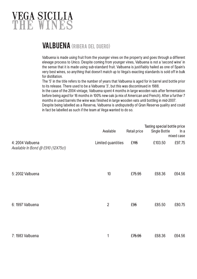## VEGA SICILIA THE WINES

### VALBUENA (RIBERA DEL DUERO)

Valbuena is made using fruit from the younger vines on the property and goes through a different elevage process to Unico. Despite coming from younger vines, Valbuena is not a 'second wine' in the sense that it is made using sub-standard fruit. Valbuena is justifiably hailed as one of Spain's very best wines, so anything that doesn't match up to Vega's exacting standards is sold off in bulk for distillation.

The '5' in the title refers to the number of years that Valbuena is aged for in barrel and bottle prior to its release. There used to be a Valbuena '3', but this was discontinued in 1988.

In the case of the 2004 vintage, Valbuena spent 4 months in large wooden vats after fermentation before being aged for 16 months in 100% new oak (a mix of American and French). After a further 7 months in used barrels the wine was finished in large wooden vats until bottling in mid-2007.

Despite being labelled as a Reserva, Valbuena is undisputedly of Gran Reserva quality and could in fact be labelled as such if the team at Vega wanted to do so.

|                                                        | Available          | Retail price       | Tasting special bottle price<br>Single Bottle | In a<br>mixed case |
|--------------------------------------------------------|--------------------|--------------------|-----------------------------------------------|--------------------|
| 4: 2004 Valbuena<br>Available In Bond @ £910 (12X75cl) | Limited quantities | £ <del>115</del>   | £103.50                                       | £97.75             |
| 5: 2002 Valbuena                                       | 10                 | £75.95             | £68.36                                        | £64.56             |
| 6: 1997 Valbuena                                       | $\overline{2}$     | £95                | £85.50                                        | £80.75             |
| 7: 1983 Valbuena                                       | 1                  | £ <del>75.95</del> | £68.36                                        | £64.56             |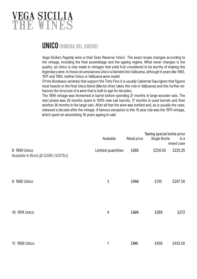## VEGA SICILIA THE WINES

#### UNICO (RIBERA DEL DUERO)

Vega Sicilia's flagship wine is their Gran Reserva 'Unico'. The exact recipe changes according to the vintage, including the final assemblage and the ageing regime. What never changes is the quality, as Unico is only made in vintages that yield fruit considered to be worthy of making this legendary wine. In these circumstances Unico is blended into Valbuena, although in years like 1963, 1971 and 1993, neither Unico or Valbuena were made!

Of the Bordeaux varietals that support the Tinto Fino it is usually Cabernet Sauvignon that figures most heavily in the final Unico blend (Merlot often takes this role in Valbuena) and this further enhances the structure of a wine that is built to age for decades.

The 1999 vintage was fermented in barrel before spending 21 months in large wooden vats. The next phase was 20 months spent in 100% new oak barrels, 17 months in used barrels and then another 24 months in the large vats. After all that the wine was bottled and, as is usually the case, released a decade after the vintage. A famous exception to this 10 year rule was the 1970 vintage, which spent an astonishing 16 years ageing in oak!

|                                                      | Available          | Retail price | Tasting special bottle price<br><b>Single Bottle</b> | ln a<br>mixed case |
|------------------------------------------------------|--------------------|--------------|------------------------------------------------------|--------------------|
| 8: 1999 Unico<br>Available In Bond @ £2080 (12X75cl) | Limited quantities | £265         | £238.50                                              | £225.25            |
| 9: 1980 Unico                                        | $\mathfrak{Z}$     | £350         | £315                                                 | £297.50            |
| 10: 1974 Unico                                       | $\overline{4}$     | £320         | £288                                                 | £272               |
| 11: 1969 Unico                                       | 1                  | £510         | £459                                                 | £433.50            |